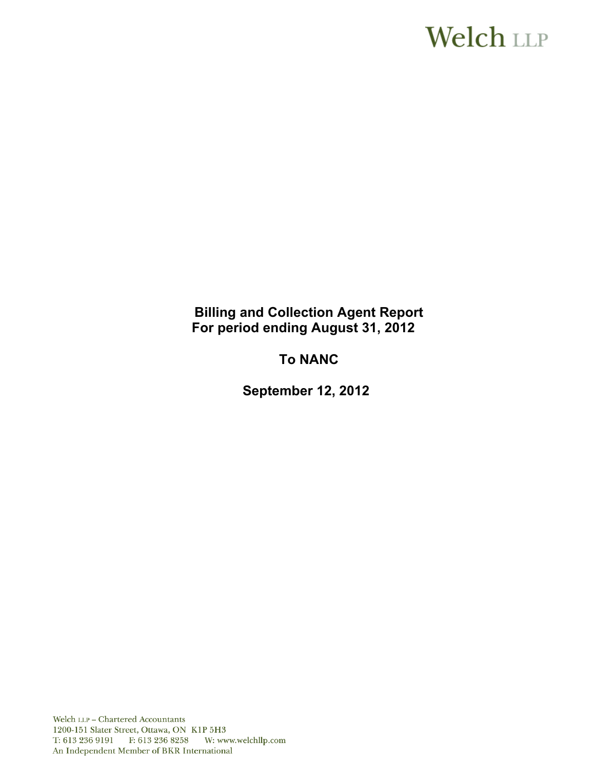# **Welch LLP**

# **Billing and Collection Agent Report For period ending August 31, 2012**

# **To NANC**

 **September 12, 2012**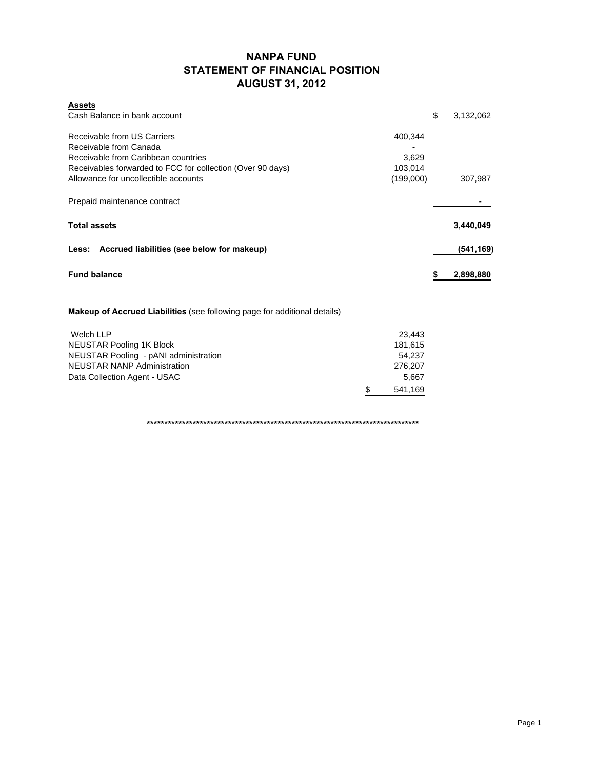### **NANPA FUND STATEMENT OF FINANCIAL POSITION AUGUST 31, 2012**

| <b>Assets</b>                                                         |                 |
|-----------------------------------------------------------------------|-----------------|
| Cash Balance in bank account                                          | \$<br>3,132,062 |
| Receivable from US Carriers<br>400,344                                |                 |
| Receivable from Canada                                                |                 |
| Receivable from Caribbean countries<br>3,629                          |                 |
| Receivables forwarded to FCC for collection (Over 90 days)<br>103,014 |                 |
| Allowance for uncollectible accounts<br>(199,000)                     | 307,987         |
| Prepaid maintenance contract                                          |                 |
| <b>Total assets</b>                                                   | 3,440,049       |
| Less: Accrued liabilities (see below for makeup)                      | (541, 169)      |
| <b>Fund balance</b>                                                   | \$<br>2,898,880 |
|                                                                       |                 |

**Makeup of Accrued Liabilities** (see following page for additional details)

| Welch LLP                             |         | 23.443  |
|---------------------------------------|---------|---------|
| <b>NEUSTAR Pooling 1K Block</b>       |         | 181.615 |
| NEUSTAR Pooling - pANI administration |         | 54.237  |
| <b>NEUSTAR NANP Administration</b>    | 276.207 |         |
| Data Collection Agent - USAC          |         | 5,667   |
|                                       |         | 541,169 |

**\*\*\*\*\*\*\*\*\*\*\*\*\*\*\*\*\*\*\*\*\*\*\*\*\*\*\*\*\*\*\*\*\*\*\*\*\*\*\*\*\*\*\*\*\*\*\*\*\*\*\*\*\*\*\*\*\*\*\*\*\*\*\*\*\*\*\*\*\*\*\*\*\*\*\*\*\***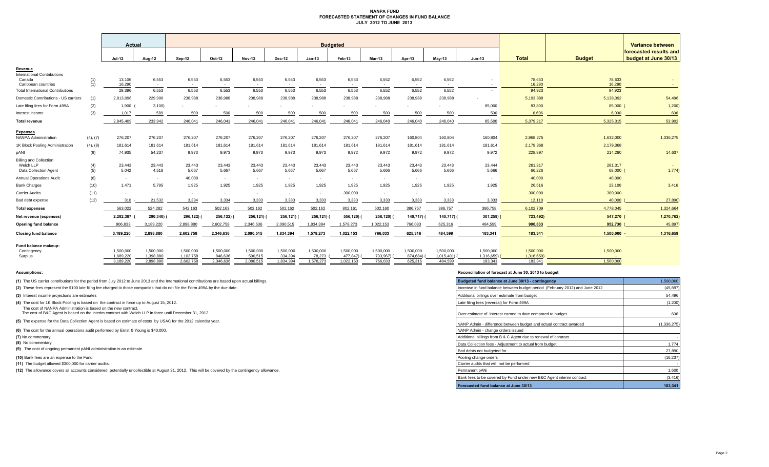#### **NANPA FUND FORECASTED STATEMENT OF CHANGES IN FUND BALANCE JULY 2012 TO JUNE 2013**

|                                                         |            | Actual                 |                        |                        |                      |                          |                      | <b>Budgeted</b>     |                       |                          |                       |                        |                                    |                         |                     | Variance between                               |
|---------------------------------------------------------|------------|------------------------|------------------------|------------------------|----------------------|--------------------------|----------------------|---------------------|-----------------------|--------------------------|-----------------------|------------------------|------------------------------------|-------------------------|---------------------|------------------------------------------------|
|                                                         |            | <b>Jul-12</b>          | Aug-12                 | Sep-12                 | Oct-12               | <b>Nov-12</b>            | <b>Dec-12</b>        | $Jan-13$            | Feb-13                | <b>Mar-13</b>            | Apr-13                | $May-13$               | <b>Jun-13</b>                      | <b>Total</b>            | <b>Budget</b>       | forecasted results and<br>budget at June 30/13 |
| Revenue<br><b>International Contributions</b>           |            |                        |                        |                        |                      |                          |                      |                     |                       |                          |                       |                        |                                    |                         |                     |                                                |
| Canada<br>Caribbean countries                           | (1)<br>(1) | 13,106<br>16,290       | 6,553<br>$\sim$        | 6,553<br>$\sim$        | 6,553<br>$\sim$      | 6,553<br>$\sim$          | 6,553<br>$\sim$      | 6,553<br>$\sim$ $-$ | 6,553<br>$\sim$       | 6,552<br>$\sim$          | 6,552<br>$\sim$       | 6,552<br>$\sim$        | $\overline{\phantom{a}}$<br>$\sim$ | 78,633<br>16,290        | 78,633<br>16,290    |                                                |
| <b>Total International Contributions</b>                |            | 29.396                 | 6.553                  | 6.553                  | 6.553                | 6.553                    | 6.553                | 6.553               | 6,553                 | 6.552                    | 6.552                 | 6.552                  | $\sim$                             | 94,923                  | 94,923              |                                                |
| Domestic Contributions - US carriers                    | (1)        | 2,813,096              | 229,900                | 238,988                | 238,988              | 238,988                  | 238,988              | 238,988             | 238,988               | 238,988                  | 238.988               | 238,988                |                                    | 5,193,888               | 5,139,392           | 54,496                                         |
| Late filing fees for Form 499A                          | (2)        | 1,900                  | 3,100                  |                        |                      |                          |                      |                     |                       |                          |                       |                        | 85,000                             | 83,800                  | 85,000              | 1,200                                          |
| Interest income                                         | (3)        | 1,017                  | 589                    | 500                    | 500                  | 500                      | 500                  | 500                 | 500                   | 500                      | 500                   | 500                    | 500                                | 6,606                   | 6,000               | 606                                            |
| <b>Total revenue</b>                                    |            | 2.845.409              | 233.942                | 246.041                | 246.041              | 246.041                  | 246.041              | 246.041             | 246.041               | 246.040                  | 246,040               | 246.040                | 85,500                             | 5.379.217               | 5.325.315           | 53,902                                         |
| <b>Expenses</b><br><b>NANPA Administration</b>          | (4), (7)   | 276,207                | 276,207                | 276,207                | 276,207              | 276,207                  | 276,207              | 276,207             | 276,207               | 276,207                  | 160.804               | 160,804                | 160,804                            | 2,968,275               | 1,632,000           | 1,336,275                                      |
| 1K Block Pooling Administration                         | (4), (8)   | 181,614                | 181,614                | 181,614                | 181,614              | 181,614                  | 181,614              | 181,614             | 181,614               | 181,614                  | 181,614               | 181,614                | 181,614                            | 2,179,368               | 2,179,368           |                                                |
| pANI                                                    | (9)        | 74,935                 | 54,237                 | 9,973                  | 9,973                | 9,973                    | 9,973                | 9,973               | 9,972                 | 9,972                    | 9,972                 | 9,972                  | 9,972                              | 228,897                 | 214,260             | 14,637                                         |
| <b>Billing and Collection</b>                           |            |                        |                        |                        |                      |                          |                      |                     |                       |                          |                       |                        |                                    |                         |                     |                                                |
| Welch LLP                                               | (4)        | 23,443                 | 23,443                 | 23,443                 | 23,443               | 23,443                   | 23,443               | 23,443              | 23,443                | 23,443                   | 23,443                | 23,443                 | 23,444                             | 281,317                 | 281,317             | 1,774)                                         |
| Data Collection Agent<br><b>Annual Operations Audit</b> | (5)<br>(6) | 5,042<br>$\sim$        | 4,518<br>$\sim$        | 5,667<br>40,000        | 5,667<br>$\sim$      | 5,667<br>$\sim$          | 5,667                | 5,667<br>$\sim$     | 5,667<br>$\sim$       | 5,666<br>$\sim$          | 5,666<br>$\sim$       | 5,666                  | 5,666<br>$\sim$                    | 66,226<br>40,000        | 68,000<br>40,000    |                                                |
| <b>Bank Charges</b>                                     | (10)       | 1.471                  | 5.795                  | 1,925                  | 1,925                | 1.925                    | 1,925                | 1,925               | 1.925                 | 1,925                    | 1,925                 | 1,925                  | 1,925                              | 26,516                  | 23,100              | 3,416                                          |
| <b>Carrier Audits</b>                                   | (11)       | $\sim$                 | $\sim$                 | $\sim$                 | $\sim$               | $\overline{\phantom{a}}$ |                      | $\sim$              | 300,000               | $\overline{\phantom{a}}$ | $\sim$                | $\sim$                 | $\sim$                             | 300,000                 | 300,000             |                                                |
| Bad debt expense                                        | (12)       | 310                    | 21,532                 | 3,334                  | 3,334                | 3,333                    | 3,333                | 3,333               | 3,333                 | 3,333                    | 3,333                 | 3,333                  | 3,333                              | 12,110                  | 40,000              | 27,890                                         |
| <b>Total expenses</b>                                   |            | 563,022                | 524,282                | 542,163                | 502,163              | 502,162                  | 502,162              | 502,162             | 802,161               | 502,160                  | 386,757               | 386,757                | 386,758                            | 6,102,709               | 4,778,045           | 1,324,664                                      |
| Net revenue (expenses)                                  |            | 2,282,387              | 290,340)               | 296,122)               | 256,122)             | 256,121)                 | 256,121)             | 256,121)            | 556,120)              | 256,120) (               | 140,717) (            | 140,717) (             | $301,258$ ) (                      | 723,492)                | 547,270             | 1,270,762)                                     |
| Opening fund balance                                    |            | 906,833                | 3,189,220              | 2,898,880              | 2,602,758            | 2,346,636                | 2,090,515            | 1,834,394           | 1,578,273             | 1,022,153                | 766,033               | 625,316                | 484,599                            | 906,833                 | 952,730             | 45,897                                         |
| <b>Closing fund balance</b>                             |            | 3,189,220              | 2,898,880              | 2,602,758              | 2,346,636            | 2,090,515                | 1,834,394            | 1,578,273           | 1,022,153             | 766,033                  | 625,316               | 484,599                | 183,341                            | 183,341                 | 1,500,000           | 1,316,659                                      |
|                                                         |            |                        |                        |                        |                      |                          |                      |                     |                       |                          |                       |                        |                                    |                         |                     |                                                |
| Fund balance makeup:<br>Contingency<br>Surplus          |            | 1.500.000<br>1,689,220 | 1.500.000<br>1,398,880 | 1.500.000<br>1,102,758 | 1,500,000<br>846,636 | 1.500.000<br>590,515     | 1.500.000<br>334,394 | 1.500.000<br>78,273 | 1.500.000<br>477,847) | 1.500.000<br>733,967)    | 1.500.000<br>874,684) | 1.500.000<br>1,015,401 | 1,500,000<br>1,316,659)            | 1,500,000<br>1,316,659) | 1,500,000<br>$\sim$ |                                                |
|                                                         |            | 3,189,220              | 2,898,880              | 2,602,758              | 2,346,636            | 2,090,515                | 1,834,394            | 1,578,273           | 1,022,153             | 766,033                  | 625,316               | 484,599                | 183,341                            | 183,341                 | 1.500.000           |                                                |

- 
- **(8)** No commentary

#### **Assumptions: Reconciliation of forecast at June 30, 2013 to budget**

| (1) The US carrier contributions for the period from July 2012 to June 2013 and the International contributions are based upon actual billings.              | Budgeted fund balance at June 30/13 - contingency                            | 1,500,000     |
|--------------------------------------------------------------------------------------------------------------------------------------------------------------|------------------------------------------------------------------------------|---------------|
| (2) These fees represent the \$100 late filing fee charged to those companies that do not file the Form 499A by the due date.                                | Increase in fund balance between budget period (February 2012) and June 2012 | (45, 897)     |
| (3) Interest income projections are estimates                                                                                                                | Additional billings over estimate from budget                                | 54,496        |
| (4) The cost for 1K Block Pooling is based on the contract in force up to August 15, 2012.<br>The cost of NANPA Administration is based on the new contract. | Late filing fees (reversal) for Form 499A                                    | (1,200)       |
| The cost of B&C Agent is based on the interim contract with Welch LLP in force until December 31, 2012.                                                      | Over estimate of interest earned to date compared to budget                  | 606           |
| (5) The expense for the Data Collection Agent is based on estimate of costs by USAC for the 2012 calendar year.                                              | NANP Admin - difference between budget and actual contract awarded           | (1, 336, 275) |
| (6) The cost for the annual operations audit performed by Ernst & Young is \$40,000.                                                                         | NANP Admin - change orders issued                                            |               |
| (7) No commentary                                                                                                                                            | Additional billings from B & C Agent due to renewal of contract              |               |
| (8) No commentary                                                                                                                                            | Data Collection fees - Adiustment to actual from budget                      | 1,774         |
| (9) The cost of ongoing permanent pANI administration is an estimate.                                                                                        | Bad debts not budgeted for                                                   | 27,890        |
| (10) Bank fees are an expense to the Fund.                                                                                                                   | Pooling change orders                                                        | (16, 237)     |
| (11) The budget allowed \$300,000 for carrier audits.                                                                                                        | Carrier audits that will not be performed                                    |               |
| (12) The allowance covers all accounts considered potentially uncollectible at August 31, 2012. This will be covered by the contingency allowance.           | Permanent pANi                                                               | 1,600         |
|                                                                                                                                                              | Bank fees to be covered by Fund under new B&C Agent interim contract         | (3, 416)      |
|                                                                                                                                                              | Forecasted fund balance at June 30/13                                        | 183,341       |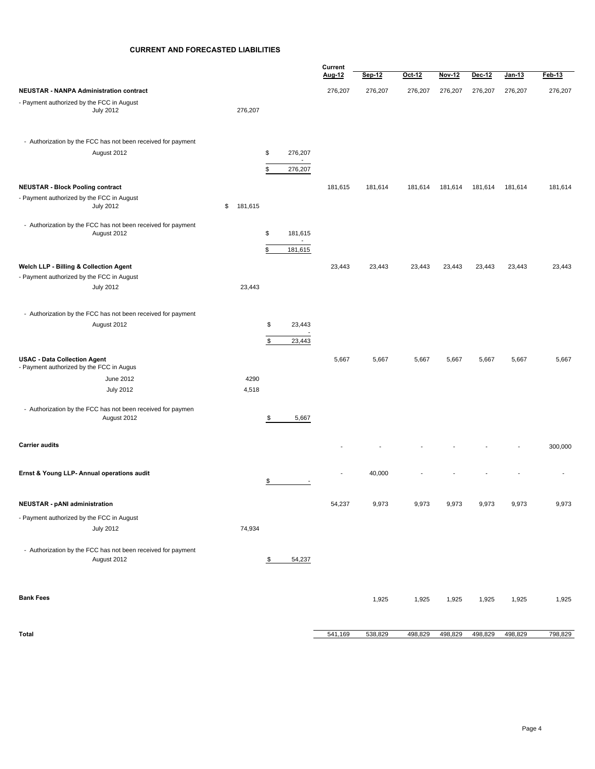#### **CURRENT AND FORECASTED LIABILITIES**

|                                                                                      |               |                                           | Current |         |         |               |         |         |         |
|--------------------------------------------------------------------------------------|---------------|-------------------------------------------|---------|---------|---------|---------------|---------|---------|---------|
|                                                                                      |               |                                           | Aug-12  | Sep-12  | Oct-12  | <b>Nov-12</b> | Dec-12  | Jan-13  | Feb-13  |
| <b>NEUSTAR - NANPA Administration contract</b>                                       |               |                                           | 276,207 | 276,207 | 276,207 | 276,207       | 276,207 | 276,207 | 276,207 |
| - Payment authorized by the FCC in August                                            |               |                                           |         |         |         |               |         |         |         |
| <b>July 2012</b>                                                                     | 276,207       |                                           |         |         |         |               |         |         |         |
|                                                                                      |               |                                           |         |         |         |               |         |         |         |
|                                                                                      |               |                                           |         |         |         |               |         |         |         |
| - Authorization by the FCC has not been received for payment                         |               |                                           |         |         |         |               |         |         |         |
| August 2012                                                                          |               | \$<br>276,207<br>$\overline{\phantom{a}}$ |         |         |         |               |         |         |         |
|                                                                                      |               | \$<br>276,207                             |         |         |         |               |         |         |         |
|                                                                                      |               |                                           |         |         |         |               |         |         |         |
| <b>NEUSTAR - Block Pooling contract</b><br>- Payment authorized by the FCC in August |               |                                           | 181,615 | 181,614 | 181,614 | 181,614       | 181,614 | 181,614 | 181,614 |
| <b>July 2012</b>                                                                     | \$<br>181,615 |                                           |         |         |         |               |         |         |         |
|                                                                                      |               |                                           |         |         |         |               |         |         |         |
| - Authorization by the FCC has not been received for payment                         |               |                                           |         |         |         |               |         |         |         |
| August 2012                                                                          |               | \$<br>181,615<br>$\sim$                   |         |         |         |               |         |         |         |
|                                                                                      |               | \$<br>181,615                             |         |         |         |               |         |         |         |
|                                                                                      |               |                                           |         |         |         |               |         |         |         |
| Welch LLP - Billing & Collection Agent<br>- Payment authorized by the FCC in August  |               |                                           | 23,443  | 23,443  | 23,443  | 23,443        | 23,443  | 23,443  | 23,443  |
| <b>July 2012</b>                                                                     | 23,443        |                                           |         |         |         |               |         |         |         |
|                                                                                      |               |                                           |         |         |         |               |         |         |         |
|                                                                                      |               |                                           |         |         |         |               |         |         |         |
| - Authorization by the FCC has not been received for payment                         |               |                                           |         |         |         |               |         |         |         |
| August 2012                                                                          |               | \$<br>23,443                              |         |         |         |               |         |         |         |
|                                                                                      |               | \$<br>23,443                              |         |         |         |               |         |         |         |
|                                                                                      |               |                                           |         |         |         |               |         |         |         |
| <b>USAC - Data Collection Agent</b><br>- Payment authorized by the FCC in Augus      |               |                                           | 5,667   | 5,667   | 5,667   | 5,667         | 5,667   | 5,667   | 5,667   |
| June 2012                                                                            | 4290          |                                           |         |         |         |               |         |         |         |
| <b>July 2012</b>                                                                     | 4,518         |                                           |         |         |         |               |         |         |         |
|                                                                                      |               |                                           |         |         |         |               |         |         |         |
| - Authorization by the FCC has not been received for paymen                          |               |                                           |         |         |         |               |         |         |         |
| August 2012                                                                          |               | \$<br>5,667                               |         |         |         |               |         |         |         |
|                                                                                      |               |                                           |         |         |         |               |         |         |         |
| <b>Carrier audits</b>                                                                |               |                                           |         |         |         |               |         |         | 300,000 |
|                                                                                      |               |                                           |         |         |         |               |         |         |         |
|                                                                                      |               |                                           |         |         |         |               |         |         |         |
| Ernst & Young LLP- Annual operations audit                                           |               | \$<br>$\overline{\phantom{a}}$            |         | 40,000  |         |               |         |         |         |
|                                                                                      |               |                                           |         |         |         |               |         |         |         |
| <b>NEUSTAR - pANI administration</b>                                                 |               |                                           | 54,237  | 9,973   | 9,973   | 9,973         | 9,973   | 9,973   | 9,973   |
|                                                                                      |               |                                           |         |         |         |               |         |         |         |
| - Payment authorized by the FCC in August                                            |               |                                           |         |         |         |               |         |         |         |
| <b>July 2012</b>                                                                     | 74,934        |                                           |         |         |         |               |         |         |         |
| - Authorization by the FCC has not been received for payment                         |               |                                           |         |         |         |               |         |         |         |
| August 2012                                                                          |               | \$<br>54,237                              |         |         |         |               |         |         |         |
|                                                                                      |               |                                           |         |         |         |               |         |         |         |
|                                                                                      |               |                                           |         |         |         |               |         |         |         |
|                                                                                      |               |                                           |         |         |         |               |         |         |         |
| <b>Bank Fees</b>                                                                     |               |                                           |         | 1,925   | 1,925   | 1,925         | 1,925   | 1,925   | 1,925   |
|                                                                                      |               |                                           |         |         |         |               |         |         |         |
|                                                                                      |               |                                           |         |         |         |               |         |         |         |
| Total                                                                                |               |                                           | 541,169 | 538,829 | 498,829 | 498,829       | 498,829 | 498,829 | 798,829 |